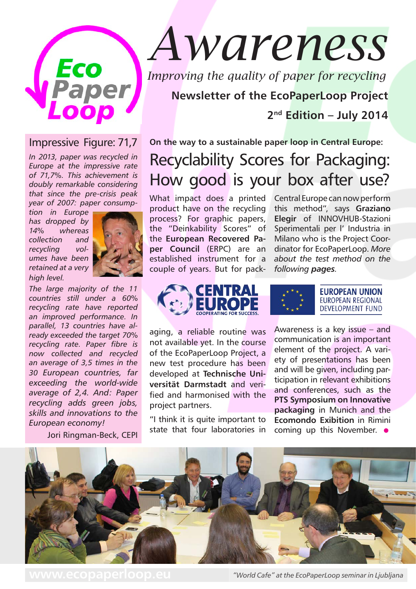

## Impressive Figure: 71,7

*In 2013, paper was recycled in Europe at the impressive rate of 71,7%. This achievement is doubly remarkable considering that since the pre-crisis peak year of 2007: paper consump-*

*tion in Europe has dropped by 14% whereas collection and recycling volumes have been retained at a very high level.* 



*The large majority of the 11 countries still under a 60% recycling rate have reported an improved performance. In parallel, 13 countries have already exceeded the target 70% recycling rate. Paper fibre is now collected and recycled an average of 3,5 times in the 30 European countries, far exceeding the world-wide average of 2,4. And: Paper recycling adds green jobs, skills and innovations to the European economy!*

Jori Ringman-Beck, CEPI

# *Awareness*

*Improving the quality of paper for recycling*

**Newsletter of the EcoPaperLoop Project 2nd Edition – July 2014**

# **On the way to a sustainable paper loop in Central Europe:** Recyclability Scores for Packaging: How good is your box after use?

What impact does a printed product have on the recycling process? For graphic papers, the "Deinkability Scores" of the **European Recovered Paper Council** (ERPC) are an established instrument for a couple of years. But for pack-

Central Europe can now perform this method", says **Graziano Elegir** of INNOVHUB-Stazioni Sperimentali per l' Industria in Milano who is the Project Coordinator for EcoPaperLoop. *More about the test method on the following pages.*



aging, a reliable routine was not available yet. In the course of the EcoPaperLoop Project, a new test procedure has been developed at **Technische Universität Darmstadt** and verified and harmonised with the project partners.

"I think it is quite important to state that four laboratories in



**EUROPEAN UNION EUROPEAN REGIONAL DEVELOPMENT FUND** 

Awareness is a key issue – and communication is an important element of the project. A variety of presentations has been and will be given, including participation in relevant exhibitions and conferences, such as the **PTS Symposium on Innovative packaging** in Munich and the **Ecomondo Exibition** in Rimini coming up this November.  $\bullet$ 



**www.ecopaperloop.eu** *"World Cafe" at the EcoPaperLoop seminar in Ljubljana*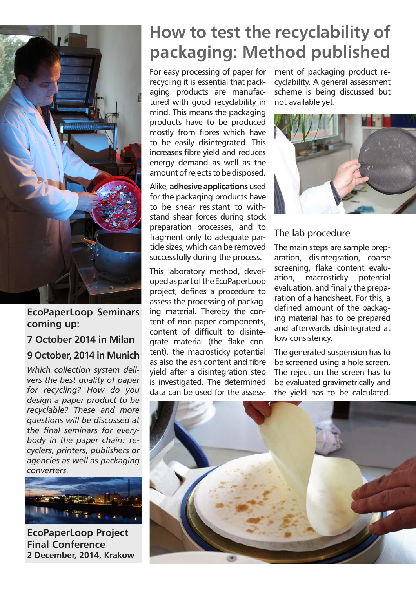

**EcoPaperLoop Seminars coming up:**

#### **7 October 2014 in Milan**

## **9 October, 2014 in Munich**

*Which collection system delivers the best quality of paper for recycling? How do you design a paper product to be recyclable? These and more questions will be discussed at the final seminars for everybody in the paper chain: recyclers, printers, publishers or agencies as well as packaging converters.*



**EcoPaperLoop Project Final Conference 2 December, 2014, Krakow**

# **How to test the recyclability of packaging: Method published**

For easy processing of paper for recycling it is essential that packaging products are manufactured with good recyclability in mind. This means the packaging products have to be produced mostly from fibres which have to be easily disintegrated. This increases fibre yield and reduces energy demand as well as the amount of rejects to be disposed.

Alike, **adhesive applications** used for the packaging products have to be shear resistant to withstand shear forces during stock preparation processes, and to fragment only to adequate particle sizes, which can be removed successfully during the process.

This laboratory method, developed as part of the EcoPaperLoop project, defines a procedure to assess the processing of packaging material. Thereby the content of non-paper components, content of difficult to disintegrate material (the flake content), the macrosticky potential as also the ash content and fibre yield after a disintegration step is investigated. The determined data can be used for the assessment of packaging product recyclability. A general assessment scheme is being discussed but not available yet.



### The lab procedure

The main steps are sample preparation, disintegration, coarse screening, flake content evaluation, macrosticky potential evaluation, and finally the preparation of a handsheet. For this, a defined amount of the packaging material has to be prepared and afterwards disintegrated at low consistency.

The generated suspension has to be screened using a hole screen. The reject on the screen has to be evaluated gravimetrically and the yield has to be calculated.

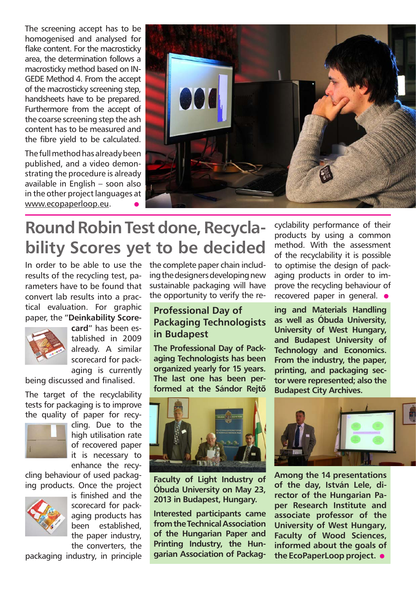The screening accept has to be homogenised and analysed for flake content. For the macrosticky area, the determination follows a macrosticky method based on IN-GEDE Method 4. From the accept of the macrosticky screening step, handsheets have to be prepared. Furthermore from the accept of the coarse screening step the ash content has to be measured and the fibre yield to be calculated.

The full method has already been published, and a video demonstrating the procedure is already available in English – soon also in the other project languages at www.ecopaperloop.eu. •



# **Round Robin Test done, Recyclability Scores yet to be decided**

In order to be able to use the results of the recycling test, parameters have to be found that convert lab results into a practical evaluation. For graphic paper, the "**Deinkability Score-**



**card**" has been established in 2009 already. A similar scorecard for packaging is currently

being discussed and finalised.

The target of the recyclability tests for packaging is to improve the quality of paper for recy-



cling. Due to the high utilisation rate of recovered paper it is necessary to enhance the recy-

cling behaviour of used packaging products. Once the project



is finished and the scorecard for packaging products has been established, the paper industry, the converters, the

packaging industry, in principle

the complete paper chain including the designers developing new sustainable packaging will have the opportunity to verify the re-

## **Professional Day of Packaging Technologists in Budapest**

**The Professional Day of Packaging Technologists has been organized yearly for 15 years. The last one has been performed at the Sándor Rejtő** 



**Faculty of Light Industry of Óbuda University on May 23, 2013 in Budapest, Hungary.**

**Interested participants came from the Technical Association of the Hungarian Paper and Printing Industry, the Hungarian Association of Packag-**

cyclability performance of their products by using a common method. With the assessment of the recyclability it is possible to optimise the design of packaging products in order to improve the recycling behaviour of recovered paper in general.  $\bullet$ 

**ing and Materials Handling as well as Óbuda University, University of West Hungary, and Budapest University of Technology and Economics. From the industry, the paper, printing, and packaging sector were represented; also the Budapest City Archives.**



**Among the 14 presentations of the day, István Lele, director of the Hungarian Paper Research Institute and associate professor of the University of West Hungary, Faculty of Wood Sciences, informed about the goals of the EcoPaperLoop project.** •